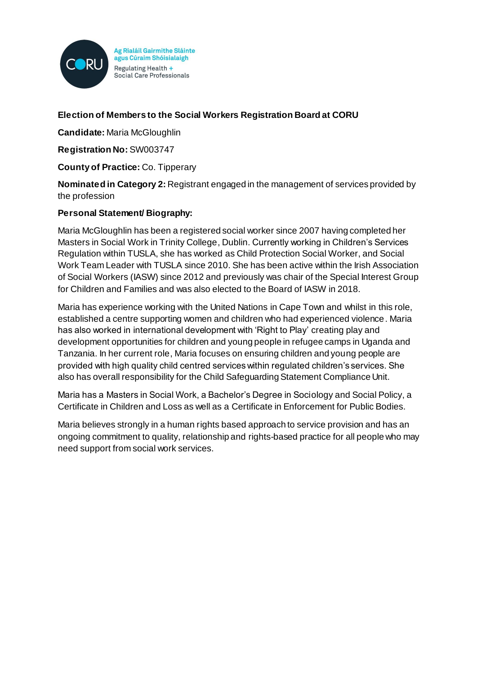

Ag Rialáil Gairmithe Sláinte agus Cúraim Shóisialaigh Regulating Health + Social Care Professionals

# **Election of Members to the Social Workers Registration Board at CORU**

**Candidate:** Maria McGloughlin

**Registration No:** SW003747

**County of Practice:** Co. Tipperary

**Nominated in Category 2:** Registrant engaged in the management of services provided by the profession

### **Personal Statement/ Biography:**

Maria McGloughlin has been a registered social worker since 2007 having completed her Masters in Social Work in Trinity College, Dublin. Currently working in Children's Services Regulation within TUSLA, she has worked as Child Protection Social Worker, and Social Work Team Leader with TUSLA since 2010. She has been active within the Irish Association of Social Workers (IASW) since 2012 and previously was chair of the Special Interest Group for Children and Families and was also elected to the Board of IASW in 2018.

Maria has experience working with the United Nations in Cape Town and whilst in this role, established a centre supporting women and children who had experienced violence. Maria has also worked in international development with 'Right to Play' creating play and development opportunities for children and young people in refugee camps in Uganda and Tanzania. In her current role, Maria focuses on ensuring children and young people are provided with high quality child centred services within regulated children's services. She also has overall responsibility for the Child Safeguarding Statement Compliance Unit.

Maria has a Masters in Social Work, a Bachelor's Degree in Sociology and Social Policy, a Certificate in Children and Loss as well as a Certificate in Enforcement for Public Bodies.

Maria believes strongly in a human rights based approach to service provision and has an ongoing commitment to quality, relationship and rights-based practice for all people who may need support from social work services.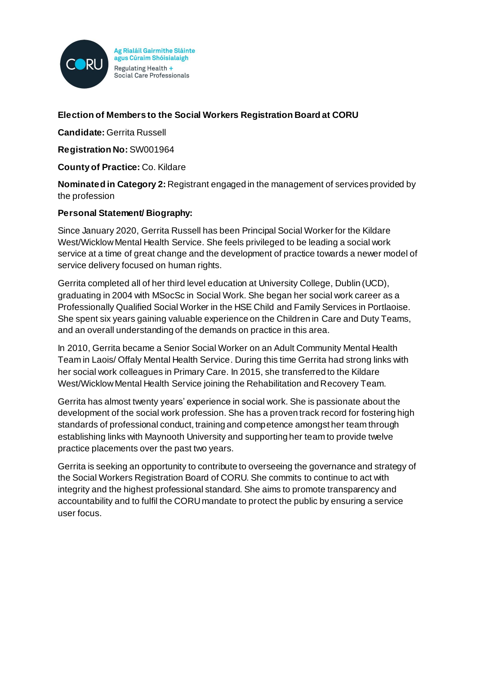

Ag Rialáil Gairmithe Sláinte agus Cúraim Shóisialaigh Regulating Health + Social Care Professionals

## **Election of Members to the Social Workers Registration Board at CORU**

**Candidate:** Gerrita Russell

**Registration No:** SW001964

**County of Practice:** Co. Kildare

**Nominated in Category 2:** Registrant engaged in the management of services provided by the profession

### **Personal Statement/ Biography:**

Since January 2020, Gerrita Russell has been Principal Social Worker for the Kildare West/Wicklow Mental Health Service. She feels privileged to be leading a social work service at a time of great change and the development of practice towards a newer model of service delivery focused on human rights.

Gerrita completed all of her third level education at University College, Dublin (UCD), graduating in 2004 with MSocSc in Social Work. She began her social work career as a Professionally Qualified Social Worker in the HSE Child and Family Services in Portlaoise. She spent six years gaining valuable experience on the Children in Care and Duty Teams, and an overall understanding of the demands on practice in this area.

In 2010, Gerrita became a Senior Social Worker on an Adult Community Mental Health Team in Laois/ Offaly Mental Health Service. During this time Gerrita had strong links with her social work colleagues in Primary Care. In 2015, she transferred to the Kildare West/Wicklow Mental Health Service joining the Rehabilitation and Recovery Team.

Gerrita has almost twenty years' experience in social work. She is passionate about the development of the social work profession. She has a proven track record for fostering high standards of professional conduct, training and competence amongst her team through establishing links with Maynooth University and supporting her team to provide twelve practice placements over the past two years.

Gerrita is seeking an opportunity to contribute to overseeing the governance and strategy of the Social Workers Registration Board of CORU. She commits to continue to act with integrity and the highest professional standard. She aims to promote transparency and accountability and to fulfil the CORU mandate to protect the public by ensuring a service user focus.